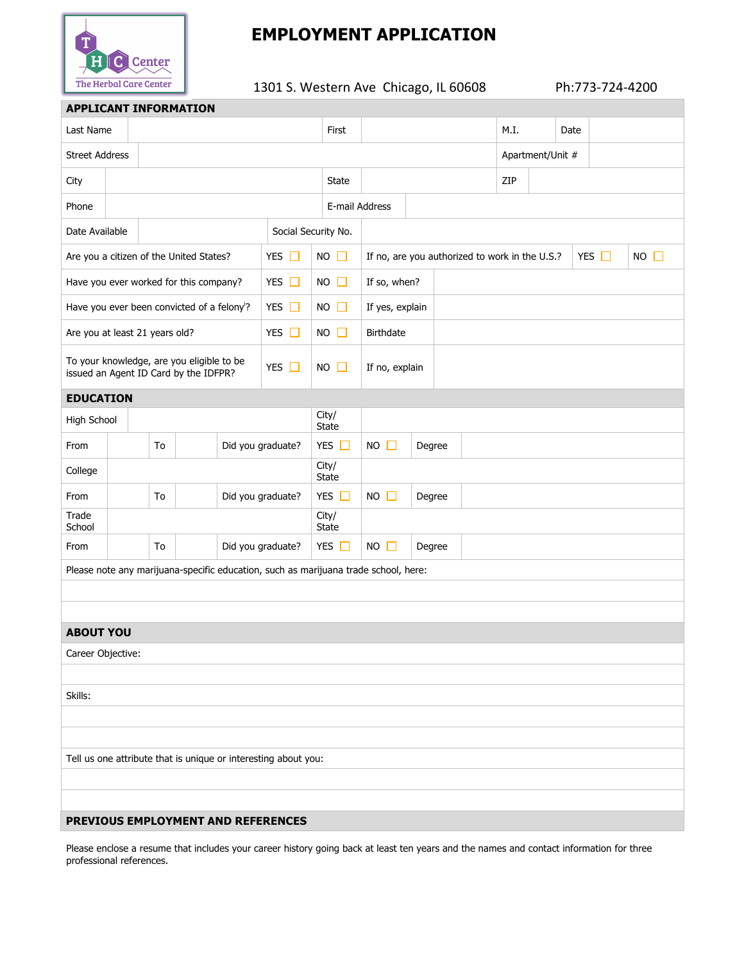

# **EMPLOYMENT APPLICATION**

1301 S. Western Ave Chicago, IL 60608 Ph:773-724-4200

| <b>APPLICANT INFORMATION</b>                                                                     |                         |  |  |                       |                               |                                                                                     |                 |  |                  |  |      |            |             |  |  |  |
|--------------------------------------------------------------------------------------------------|-------------------------|--|--|-----------------------|-------------------------------|-------------------------------------------------------------------------------------|-----------------|--|------------------|--|------|------------|-------------|--|--|--|
|                                                                                                  | Last Name               |  |  |                       | First                         |                                                                                     |                 |  | M.I.             |  | Date |            |             |  |  |  |
| <b>Street Address</b>                                                                            |                         |  |  |                       |                               |                                                                                     |                 |  | Apartment/Unit # |  |      |            |             |  |  |  |
| City                                                                                             |                         |  |  |                       | State                         |                                                                                     |                 |  | ZIP              |  |      |            |             |  |  |  |
| Phone                                                                                            |                         |  |  |                       | E-mail Address                |                                                                                     |                 |  |                  |  |      |            |             |  |  |  |
| Date Available<br>Social Security No.                                                            |                         |  |  |                       |                               |                                                                                     |                 |  |                  |  |      |            |             |  |  |  |
| YES $\Box$<br>Are you a citizen of the United States?                                            |                         |  |  |                       | $NO$ $\Box$                   | If no, are you authorized to work in the U.S.?                                      |                 |  |                  |  |      | YES $\Box$ | $NO$ $\Box$ |  |  |  |
| YES $\Box$<br>Have you ever worked for this company?                                             |                         |  |  |                       | $NO$ $\Box$                   | If so, when?                                                                        |                 |  |                  |  |      |            |             |  |  |  |
| YES $\Box$<br>Have you ever been convicted of a felony?                                          |                         |  |  |                       | $NO$ $\Box$                   |                                                                                     | If yes, explain |  |                  |  |      |            |             |  |  |  |
| YES $\Box$<br>Are you at least 21 years old?                                                     |                         |  |  |                       | $NO$ $\Box$                   | <b>Birthdate</b>                                                                    |                 |  |                  |  |      |            |             |  |  |  |
| To your knowledge, are you eligible to be<br>YES $\Box$<br>issued an Agent ID Card by the IDFPR? |                         |  |  | <b>NO</b>             | П                             | If no, explain                                                                      |                 |  |                  |  |      |            |             |  |  |  |
| <b>EDUCATION</b>                                                                                 |                         |  |  |                       |                               |                                                                                     |                 |  |                  |  |      |            |             |  |  |  |
| High School                                                                                      |                         |  |  |                       | City/<br><b>State</b>         |                                                                                     |                 |  |                  |  |      |            |             |  |  |  |
| From                                                                                             | To<br>Did you graduate? |  |  | YES $\Box$            | $NO$ $\Box$                   | Degree                                                                              |                 |  |                  |  |      |            |             |  |  |  |
| College                                                                                          |                         |  |  | City/<br><b>State</b> |                               |                                                                                     |                 |  |                  |  |      |            |             |  |  |  |
| From                                                                                             | To<br>Did you graduate? |  |  | YES $\square$         | <b>NO</b><br>$\Box$<br>Degree |                                                                                     |                 |  |                  |  |      |            |             |  |  |  |
| Trade<br>School                                                                                  |                         |  |  |                       | City/<br><b>State</b>         |                                                                                     |                 |  |                  |  |      |            |             |  |  |  |
| From                                                                                             | Did you graduate?<br>To |  |  |                       | YES $\Box$                    | $NO$ $\Box$                                                                         | Degree          |  |                  |  |      |            |             |  |  |  |
|                                                                                                  |                         |  |  |                       |                               | Please note any marijuana-specific education, such as marijuana trade school, here: |                 |  |                  |  |      |            |             |  |  |  |
|                                                                                                  |                         |  |  |                       |                               |                                                                                     |                 |  |                  |  |      |            |             |  |  |  |
|                                                                                                  |                         |  |  |                       |                               |                                                                                     |                 |  |                  |  |      |            |             |  |  |  |
| <b>ABOUT YOU</b>                                                                                 |                         |  |  |                       |                               |                                                                                     |                 |  |                  |  |      |            |             |  |  |  |
| Career Objective:                                                                                |                         |  |  |                       |                               |                                                                                     |                 |  |                  |  |      |            |             |  |  |  |
|                                                                                                  |                         |  |  |                       |                               |                                                                                     |                 |  |                  |  |      |            |             |  |  |  |
| Skills:                                                                                          |                         |  |  |                       |                               |                                                                                     |                 |  |                  |  |      |            |             |  |  |  |
|                                                                                                  |                         |  |  |                       |                               |                                                                                     |                 |  |                  |  |      |            |             |  |  |  |
|                                                                                                  |                         |  |  |                       |                               |                                                                                     |                 |  |                  |  |      |            |             |  |  |  |
| Tell us one attribute that is unique or interesting about you:                                   |                         |  |  |                       |                               |                                                                                     |                 |  |                  |  |      |            |             |  |  |  |
|                                                                                                  |                         |  |  |                       |                               |                                                                                     |                 |  |                  |  |      |            |             |  |  |  |
|                                                                                                  |                         |  |  |                       |                               |                                                                                     |                 |  |                  |  |      |            |             |  |  |  |
|                                                                                                  |                         |  |  |                       |                               | PREVIOUS EMPLOYMENT AND REFERENCES                                                  |                 |  |                  |  |      |            |             |  |  |  |

Please enclose a resume that includes your career history going back at least ten years and the names and contact information for three professional references.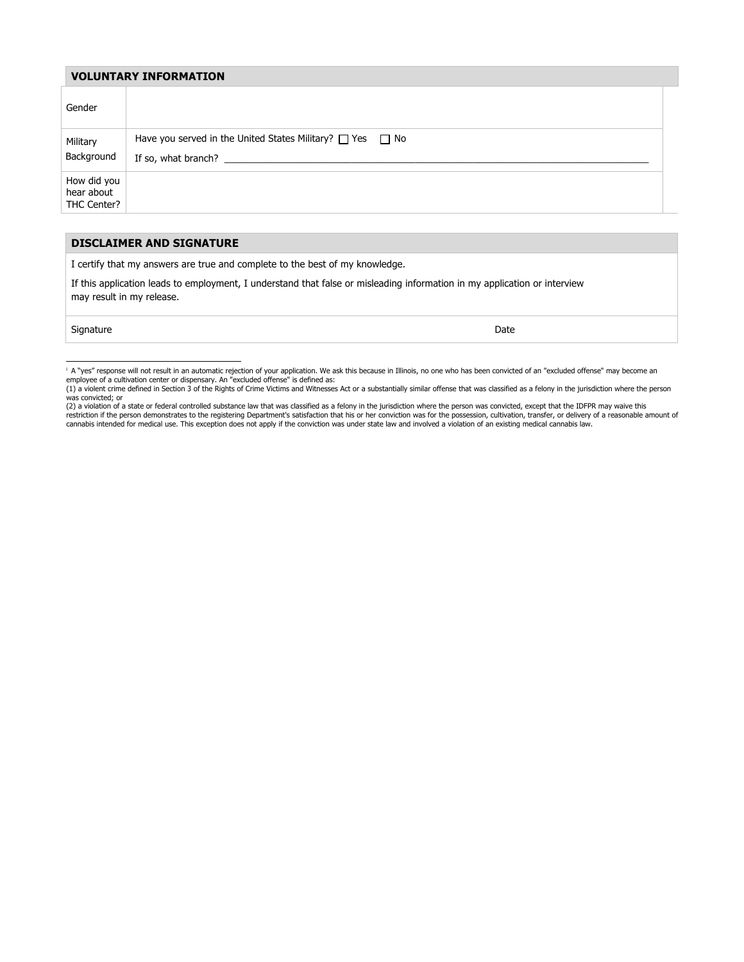#### **VOLUNTARY INFORMATION**

| Gender                                   |                                                                                            |  |
|------------------------------------------|--------------------------------------------------------------------------------------------|--|
| Military<br>Background                   | Have you served in the United States Military? $\Box$ Yes $\Box$ No<br>If so, what branch? |  |
| How did you<br>hear about<br>THC Center? |                                                                                            |  |

#### **DISCLAIMER AND SIGNATURE**

I certify that my answers are true and complete to the best of my knowledge.

If this application leads to employment, I understand that false or misleading information in my application or interview may result in my release.

signature **Date** 

<sup>&</sup>lt;sup>i</sup> A "yes" response will not result in an automatic rejection of your application. We ask this because in Illinois, no one who has been convicted of an "excluded offense" may become an

employee of a cultivation center or dispensary. An "excluded offense" is defined as:<br>(1) a violent crime defined in Section 3 of the Rights of Crime Victims and Witnesses Act or a substantially similar offense that was cla

<sup>(2)</sup> a violation of a state or federal controlled substance law that was classified as a felony in the jurisdiction where the person was convicted, except that the IDFPR may waive this restriction if the person demonstrates to the registering Department's satisfaction that his or her conviction was for the possession, cultivation, transfer, or delivery of a reasonable amount of<br>cannabis intended for medi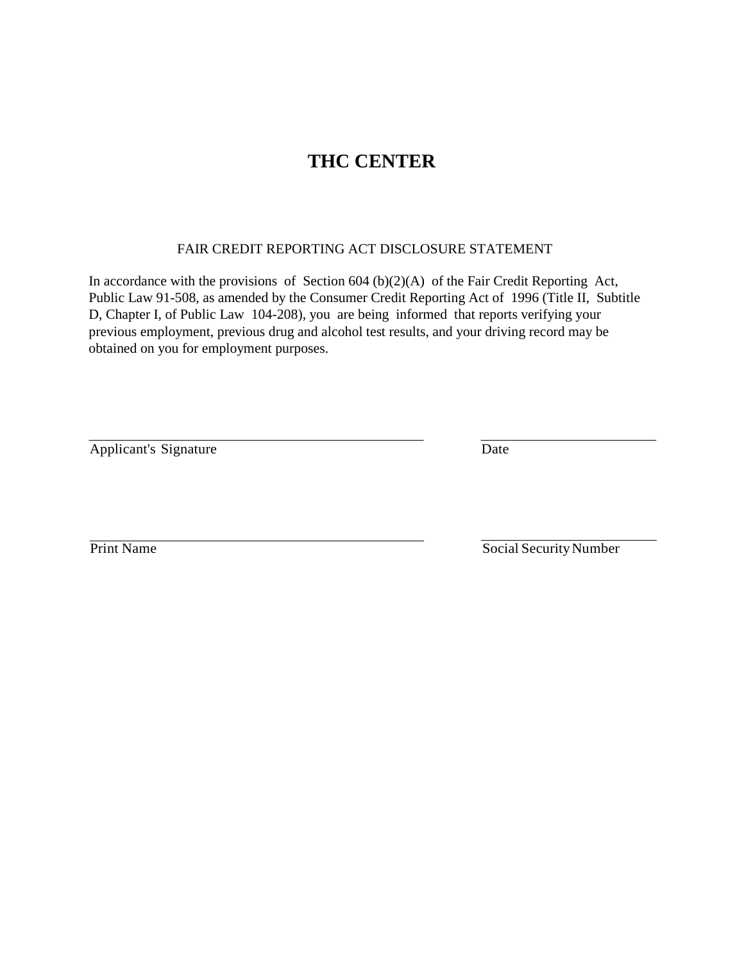## **THC CENTER**

### FAIR CREDIT REPORTING ACT DISCLOSURE STATEMENT

In accordance with the provisions of Section  $604 (b)(2)(A)$  of the Fair Credit Reporting Act, Public Law 91-508, as amended by the Consumer Credit Reporting Act of 1996 (Title II, Subtitle D, Chapter I, of Public Law 104-208), you are being informed that reports verifying your previous employment, previous drug and alcohol test results, and your driving record may be obtained on you for employment purposes.

Applicant's Signature Date

Print Name Social Security Number